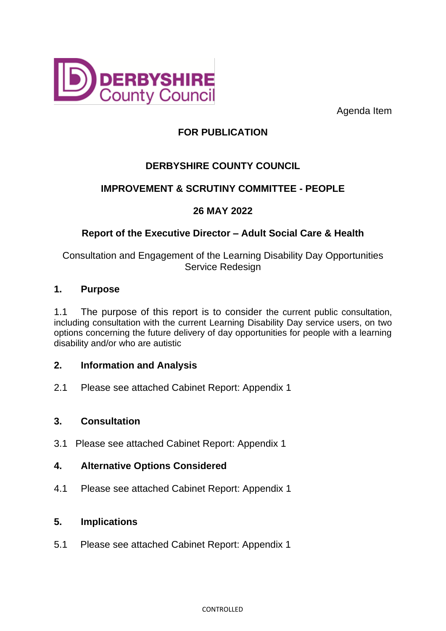

Agenda Item

# **FOR PUBLICATION**

# **DERBYSHIRE COUNTY COUNCIL**

# **IMPROVEMENT & SCRUTINY COMMITTEE - PEOPLE**

# **26 MAY 2022**

# **Report of the Executive Director – Adult Social Care & Health**

Consultation and Engagement of the Learning Disability Day Opportunities Service Redesign

#### **1. Purpose**

1.1 The purpose of this report is to consider the current public consultation, including consultation with the current Learning Disability Day service users, on two options concerning the future delivery of day opportunities for people with a learning disability and/or who are autistic

### **2. Information and Analysis**

2.1 Please see attached Cabinet Report: Appendix 1

#### **3. Consultation**

3.1 Please see attached Cabinet Report: Appendix 1

#### **4. Alternative Options Considered**

4.1 Please see attached Cabinet Report: Appendix 1

#### **5. Implications**

5.1 Please see attached Cabinet Report: Appendix 1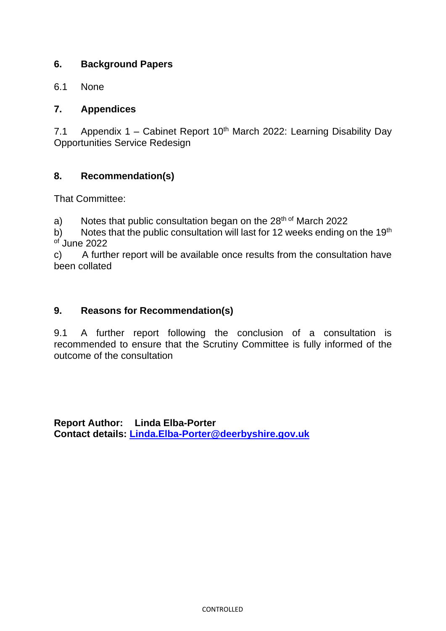### **6. Background Papers**

6.1 None

### **7. Appendices**

7.1 Appendix 1 – Cabinet Report  $10<sup>th</sup>$  March 2022: Learning Disability Day Opportunities Service Redesign

# **8. Recommendation(s)**

That Committee:

a) Notes that public consultation began on the  $28<sup>th of</sup>$  March 2022

b) Notes that the public consultation will last for 12 weeks ending on the 19<sup>th</sup>  $\sigma$ <sup>f</sup> June 2022

c) A further report will be available once results from the consultation have been collated

#### **9. Reasons for Recommendation(s)**

9.1 A further report following the conclusion of a consultation is recommended to ensure that the Scrutiny Committee is fully informed of the outcome of the consultation

**Report Author: Linda Elba-Porter Contact details: [Linda.Elba-Porter@deerbyshire.gov.uk](mailto:Linda.Elba-Porter@deerbyshire.gov.uk)**